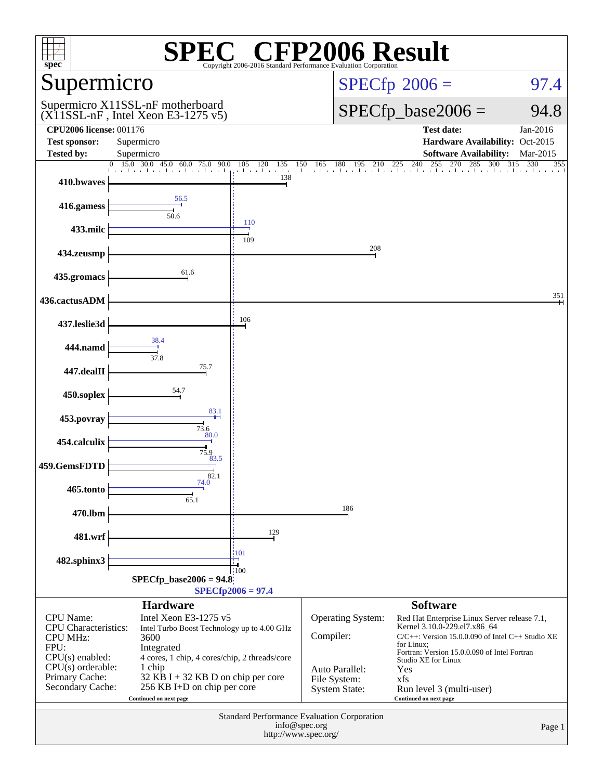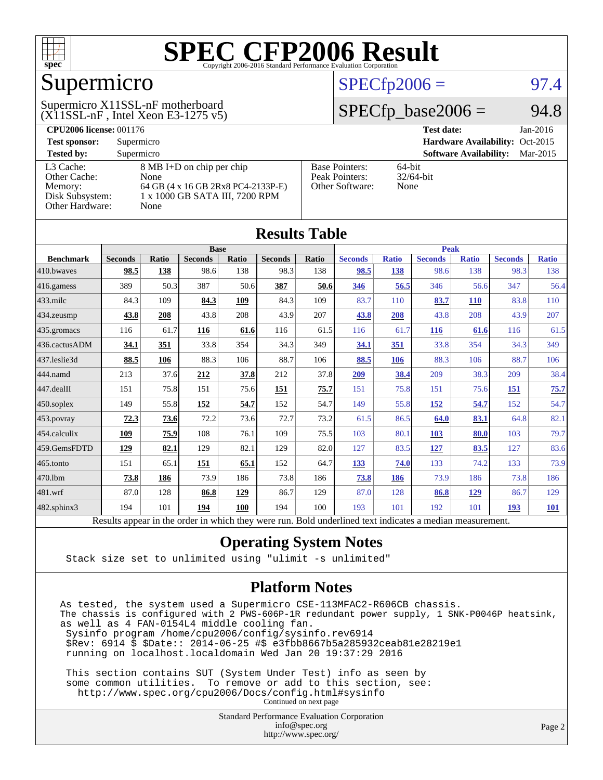

## Supermicro

#### (X11SSL-nF , Intel Xeon E3-1275 v5) Supermicro X11SSL-nF motherboard

#### $SPECfp2006 = 97.4$  $SPECfp2006 = 97.4$

#### $SPECfp\_base2006 = 94.8$

| <b>CPU2006 license: 001176</b> |                                    |                       | <b>Test date:</b><br>$Jan-2016$           |  |  |  |
|--------------------------------|------------------------------------|-----------------------|-------------------------------------------|--|--|--|
| <b>Test sponsor:</b>           | Supermicro                         |                       | Hardware Availability: Oct-2015           |  |  |  |
| <b>Tested by:</b>              | Supermicro                         |                       | <b>Software Availability:</b><br>Mar-2015 |  |  |  |
| L3 Cache:                      | 8 MB I+D on chip per chip          | <b>Base Pointers:</b> | $64$ -bit                                 |  |  |  |
| Other Cache:                   | None                               | Peak Pointers:        | $32/64$ -bit                              |  |  |  |
| Memory:                        | 64 GB (4 x 16 GB 2Rx8 PC4-2133P-E) | Other Software:       | None                                      |  |  |  |
| Disk Subsystem:                | 1 x 1000 GB SATA III, 7200 RPM     |                       |                                           |  |  |  |
| Other Hardware:                | None                               |                       |                                           |  |  |  |

| <b>Results Table</b> |                                                                                                          |              |                |       |                |       |                |              |                |              |                |              |
|----------------------|----------------------------------------------------------------------------------------------------------|--------------|----------------|-------|----------------|-------|----------------|--------------|----------------|--------------|----------------|--------------|
|                      | <b>Base</b>                                                                                              |              |                |       | <b>Peak</b>    |       |                |              |                |              |                |              |
| <b>Benchmark</b>     | <b>Seconds</b>                                                                                           | <b>Ratio</b> | <b>Seconds</b> | Ratio | <b>Seconds</b> | Ratio | <b>Seconds</b> | <b>Ratio</b> | <b>Seconds</b> | <b>Ratio</b> | <b>Seconds</b> | <b>Ratio</b> |
| 410.bwayes           | 98.5                                                                                                     | 138          | 98.6           | 138   | 98.3           | 138   | 98.5           | 138          | 98.6           | 138          | 98.3           | 138          |
| 416.gamess           | 389                                                                                                      | 50.3         | 387            | 50.6  | 387            | 50.6  | 346            | 56.5         | 346            | 56.6         | 347            | 56.4         |
| $433$ .milc          | 84.3                                                                                                     | 109          | 84.3           | 109   | 84.3           | 109   | 83.7           | 110          | 83.7           | <b>110</b>   | 83.8           | 110          |
| 434.zeusmp           | 43.8                                                                                                     | 208          | 43.8           | 208   | 43.9           | 207   | 43.8           | 208          | 43.8           | 208          | 43.9           | 207          |
| 435.gromacs          | 116                                                                                                      | 61.7         | 116            | 61.6  | 116            | 61.5  | 116            | 61.7         | <b>116</b>     | 61.6         | 116            | 61.5         |
| 436.cactusADM        | 34.1                                                                                                     | 351          | 33.8           | 354   | 34.3           | 349   | 34.1           | 351          | 33.8           | 354          | 34.3           | 349          |
| 437.leslie3d         | 88.5                                                                                                     | 106          | 88.3           | 106   | 88.7           | 106   | 88.5           | 106          | 88.3           | 106          | 88.7           | 106          |
| 444.namd             | 213                                                                                                      | 37.6         | 212            | 37.8  | 212            | 37.8  | 209            | 38.4         | 209            | 38.3         | 209            | 38.4         |
| 447.dealII           | 151                                                                                                      | 75.8         | 151            | 75.6  | 151            | 75.7  | 151            | 75.8         | 151            | 75.6         | 151            | 75.7         |
| $450$ .soplex        | 149                                                                                                      | 55.8         | 152            | 54.7  | 152            | 54.7  | 149            | 55.8         | 152            | 54.7         | 152            | 54.7         |
| 453.povray           | 72.3                                                                                                     | 73.6         | 72.2           | 73.6  | 72.7           | 73.2  | 61.5           | 86.5         | 64.0           | 83.1         | 64.8           | 82.1         |
| 454.calculix         | 109                                                                                                      | 75.9         | 108            | 76.1  | 109            | 75.5  | 103            | 80.1         | <b>103</b>     | 80.0         | 103            | 79.7         |
| 459.GemsFDTD         | 129                                                                                                      | 82.1         | 129            | 82.1  | 129            | 82.0  | 127            | 83.5         | 127            | 83.5         | 127            | 83.6         |
| 465.tonto            | 151                                                                                                      | 65.1         | 151            | 65.1  | 152            | 64.7  | 133            | 74.0         | 133            | 74.2         | 133            | 73.9         |
| 470.1bm              | 73.8                                                                                                     | 186          | 73.9           | 186   | 73.8           | 186   | 73.8           | 186          | 73.9           | 186          | 73.8           | 186          |
| 481.wrf              | 87.0                                                                                                     | 128          | 86.8           | 129   | 86.7           | 129   | 87.0           | 128          | 86.8           | 129          | 86.7           | 129          |
| $482$ .sphinx $3$    | 194                                                                                                      | 101          | 194            | 100   | 194            | 100   | 193            | 101          | 192            | 101          | 193            | <b>101</b>   |
|                      | Results appear in the order in which they were run. Bold underlined text indicates a median measurement. |              |                |       |                |       |                |              |                |              |                |              |

#### **[Operating System Notes](http://www.spec.org/auto/cpu2006/Docs/result-fields.html#OperatingSystemNotes)**

Stack size set to unlimited using "ulimit -s unlimited"

#### **[Platform Notes](http://www.spec.org/auto/cpu2006/Docs/result-fields.html#PlatformNotes)**

As tested, the system used a Supermicro CSE-113MFAC2-R606CB chassis. The chassis is configured with 2 PWS-606P-1R redundant power supply, 1 SNK-P0046P heatsink, as well as 4 FAN-0154L4 middle cooling fan. Sysinfo program /home/cpu2006/config/sysinfo.rev6914 \$Rev: 6914 \$ \$Date:: 2014-06-25 #\$ e3fbb8667b5a285932ceab81e28219e1 running on localhost.localdomain Wed Jan 20 19:37:29 2016

 This section contains SUT (System Under Test) info as seen by some common utilities. To remove or add to this section, see: <http://www.spec.org/cpu2006/Docs/config.html#sysinfo> Continued on next page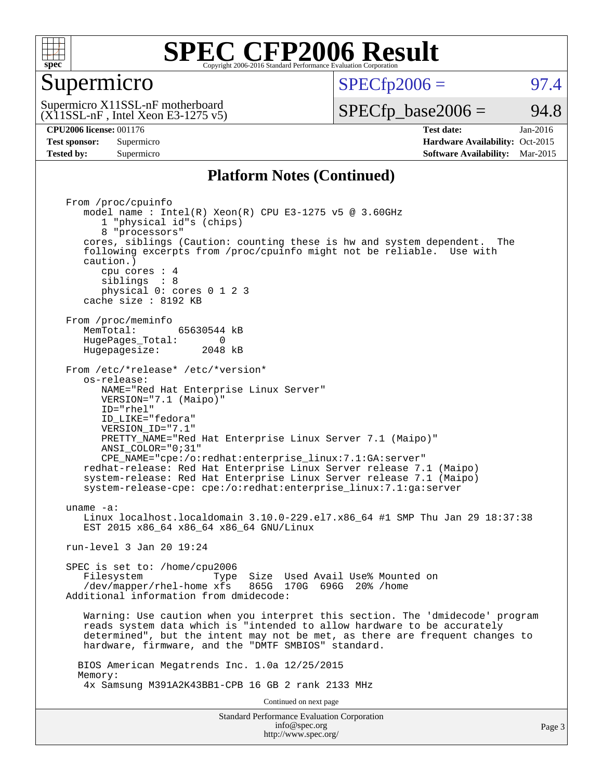

#### Supermicro

 $SPECTp2006 =$  97.4

 $(X11SSL-nF$ , Intel Xeon E3-1275 v5) Supermicro X11SSL-nF motherboard

 $SPECTp\_base2006 = 94.8$ 

**[CPU2006 license:](http://www.spec.org/auto/cpu2006/Docs/result-fields.html#CPU2006license)** 001176 **[Test date:](http://www.spec.org/auto/cpu2006/Docs/result-fields.html#Testdate)** Jan-2016 **[Test sponsor:](http://www.spec.org/auto/cpu2006/Docs/result-fields.html#Testsponsor)** Supermicro Supermicro **[Hardware Availability:](http://www.spec.org/auto/cpu2006/Docs/result-fields.html#HardwareAvailability)** Oct-2015 **[Tested by:](http://www.spec.org/auto/cpu2006/Docs/result-fields.html#Testedby)** Supermicro **Supermicro [Software Availability:](http://www.spec.org/auto/cpu2006/Docs/result-fields.html#SoftwareAvailability)** Mar-2015

#### **[Platform Notes \(Continued\)](http://www.spec.org/auto/cpu2006/Docs/result-fields.html#PlatformNotes)**

Standard Performance Evaluation Corporation [info@spec.org](mailto:info@spec.org) Page 3 From /proc/cpuinfo model name : Intel(R) Xeon(R) CPU E3-1275 v5 @ 3.60GHz 1 "physical id"s (chips) 8 "processors" cores, siblings (Caution: counting these is hw and system dependent. The following excerpts from /proc/cpuinfo might not be reliable. Use with caution.) cpu cores : 4 siblings : 8 physical 0: cores 0 1 2 3 cache size : 8192 KB From /proc/meminfo<br>MemTotal: 65630544 kB HugePages\_Total: 0<br>Hugepagesize: 2048 kB Hugepagesize: From /etc/\*release\* /etc/\*version\* os-release: NAME="Red Hat Enterprise Linux Server" VERSION="7.1 (Maipo)" ID="rhel" ID\_LIKE="fedora" VERSION\_ID="7.1" PRETTY\_NAME="Red Hat Enterprise Linux Server 7.1 (Maipo)" ANSI\_COLOR="0;31" CPE\_NAME="cpe:/o:redhat:enterprise\_linux:7.1:GA:server" redhat-release: Red Hat Enterprise Linux Server release 7.1 (Maipo) system-release: Red Hat Enterprise Linux Server release 7.1 (Maipo) system-release-cpe: cpe:/o:redhat:enterprise\_linux:7.1:ga:server uname -a: Linux localhost.localdomain 3.10.0-229.el7.x86\_64 #1 SMP Thu Jan 29 18:37:38 EST 2015 x86 64 x86 64 x86 64 GNU/Linux run-level 3 Jan 20 19:24 SPEC is set to: /home/cpu2006 Filesystem Type Size Used Avail Use% Mounted on /dev/mapper/rhel-home xfs 865G 170G 696G 20% /home Additional information from dmidecode: Warning: Use caution when you interpret this section. The 'dmidecode' program reads system data which is "intended to allow hardware to be accurately determined", but the intent may not be met, as there are frequent changes to hardware, firmware, and the "DMTF SMBIOS" standard. BIOS American Megatrends Inc. 1.0a 12/25/2015 Memory: 4x Samsung M391A2K43BB1-CPB 16 GB 2 rank 2133 MHz Continued on next page

<http://www.spec.org/>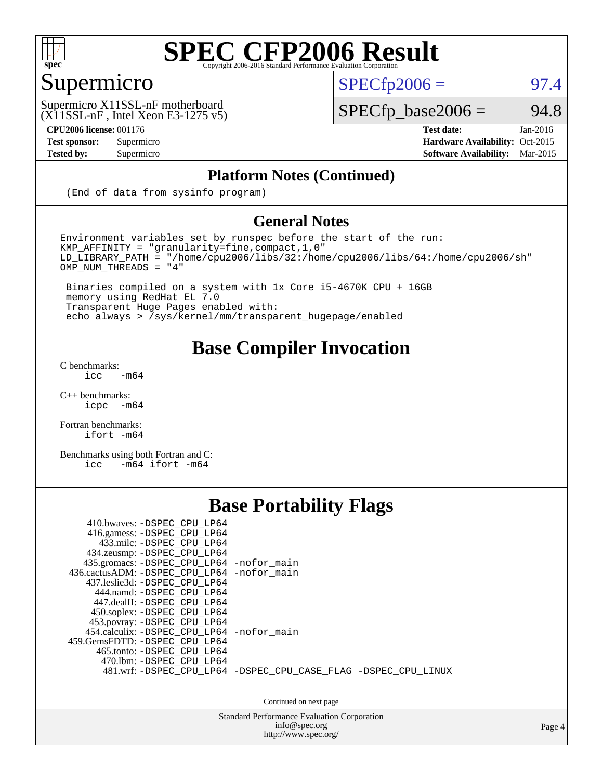

### Supermicro

 $SPECTp2006 =$  97.4

(X11SSL-nF , Intel Xeon E3-1275 v5) Supermicro X11SSL-nF motherboard

**[CPU2006 license:](http://www.spec.org/auto/cpu2006/Docs/result-fields.html#CPU2006license)** 001176 **[Test date:](http://www.spec.org/auto/cpu2006/Docs/result-fields.html#Testdate)** Jan-2016

 $SPECfp\_base2006 = 94.8$ 

**[Test sponsor:](http://www.spec.org/auto/cpu2006/Docs/result-fields.html#Testsponsor)** Supermicro Supermicro **[Hardware Availability:](http://www.spec.org/auto/cpu2006/Docs/result-fields.html#HardwareAvailability)** Oct-2015 **[Tested by:](http://www.spec.org/auto/cpu2006/Docs/result-fields.html#Testedby)** Supermicro **Supermicro [Software Availability:](http://www.spec.org/auto/cpu2006/Docs/result-fields.html#SoftwareAvailability)** Mar-2015

#### **[Platform Notes \(Continued\)](http://www.spec.org/auto/cpu2006/Docs/result-fields.html#PlatformNotes)**

(End of data from sysinfo program)

#### **[General Notes](http://www.spec.org/auto/cpu2006/Docs/result-fields.html#GeneralNotes)**

Environment variables set by runspec before the start of the run: KMP\_AFFINITY = "granularity=fine,compact,1,0" LD\_LIBRARY\_PATH = "/home/cpu2006/libs/32:/home/cpu2006/libs/64:/home/cpu2006/sh" OMP\_NUM\_THREADS = "4"

 Binaries compiled on a system with 1x Core i5-4670K CPU + 16GB memory using RedHat EL 7.0 Transparent Huge Pages enabled with: echo always > /sys/kernel/mm/transparent\_hugepage/enabled

#### **[Base Compiler Invocation](http://www.spec.org/auto/cpu2006/Docs/result-fields.html#BaseCompilerInvocation)**

[C benchmarks](http://www.spec.org/auto/cpu2006/Docs/result-fields.html#Cbenchmarks):  $\text{icc}$  -m64

 $C++$  benchmarks:<br>icpc  $-m$ -m64

[Fortran benchmarks](http://www.spec.org/auto/cpu2006/Docs/result-fields.html#Fortranbenchmarks): [ifort -m64](http://www.spec.org/cpu2006/results/res2016q1/cpu2006-20160125-38769.flags.html#user_FCbase_intel_ifort_64bit_ee9d0fb25645d0210d97eb0527dcc06e)

[Benchmarks using both Fortran and C](http://www.spec.org/auto/cpu2006/Docs/result-fields.html#BenchmarksusingbothFortranandC): [icc -m64](http://www.spec.org/cpu2006/results/res2016q1/cpu2006-20160125-38769.flags.html#user_CC_FCbase_intel_icc_64bit_0b7121f5ab7cfabee23d88897260401c) [ifort -m64](http://www.spec.org/cpu2006/results/res2016q1/cpu2006-20160125-38769.flags.html#user_CC_FCbase_intel_ifort_64bit_ee9d0fb25645d0210d97eb0527dcc06e)

#### **[Base Portability Flags](http://www.spec.org/auto/cpu2006/Docs/result-fields.html#BasePortabilityFlags)**

| 410.bwaves: -DSPEC CPU LP64<br>416.gamess: -DSPEC_CPU_LP64<br>433.milc: -DSPEC CPU LP64<br>434.zeusmp: -DSPEC_CPU_LP64<br>435.gromacs: -DSPEC_CPU_LP64 -nofor_main<br>436.cactusADM: -DSPEC CPU LP64 -nofor main<br>437.leslie3d: -DSPEC CPU LP64<br>444.namd: -DSPEC CPU LP64<br>447.dealII: -DSPEC CPU LP64 |                                                                |
|---------------------------------------------------------------------------------------------------------------------------------------------------------------------------------------------------------------------------------------------------------------------------------------------------------------|----------------------------------------------------------------|
| 450.soplex: -DSPEC_CPU_LP64<br>453.povray: -DSPEC_CPU_LP64<br>454.calculix: -DSPEC CPU LP64 -nofor main<br>459.GemsFDTD: -DSPEC CPU LP64<br>465.tonto: - DSPEC CPU LP64<br>470.1bm: - DSPEC CPU LP64                                                                                                          | 481.wrf: -DSPEC_CPU_LP64 -DSPEC_CPU_CASE_FLAG -DSPEC_CPU_LINUX |

Continued on next page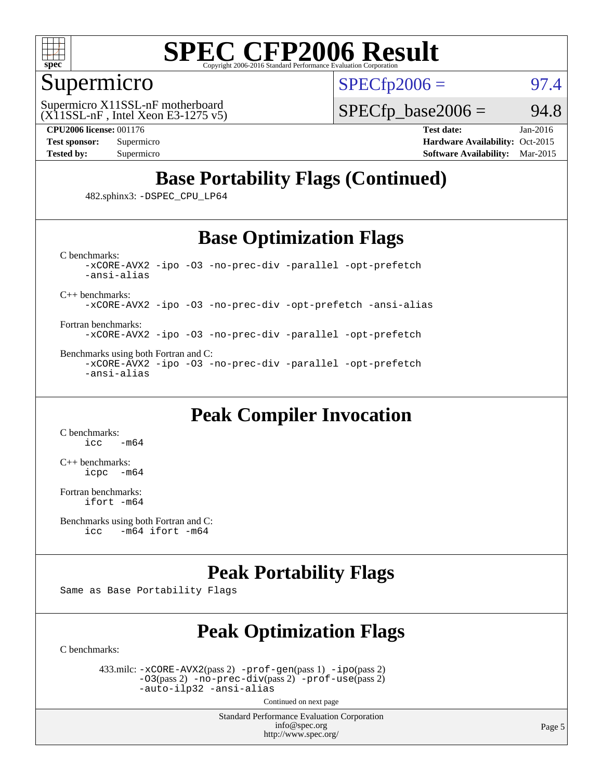

#### Supermicro

 $SPECTp2006 =$  97.4

 $(X11SSL-nF,$  Intel Xeon E3-1275 v5) Supermicro X11SSL-nF motherboard

 $SPECTp\_base2006 = 94.8$ 

**[CPU2006 license:](http://www.spec.org/auto/cpu2006/Docs/result-fields.html#CPU2006license)** 001176 **[Test date:](http://www.spec.org/auto/cpu2006/Docs/result-fields.html#Testdate)** Jan-2016

**[Test sponsor:](http://www.spec.org/auto/cpu2006/Docs/result-fields.html#Testsponsor)** Supermicro Supermicro **[Hardware Availability:](http://www.spec.org/auto/cpu2006/Docs/result-fields.html#HardwareAvailability)** Oct-2015 **[Tested by:](http://www.spec.org/auto/cpu2006/Docs/result-fields.html#Testedby)** Supermicro **Supermicro [Software Availability:](http://www.spec.org/auto/cpu2006/Docs/result-fields.html#SoftwareAvailability)** Mar-2015

### **[Base Portability Flags \(Continued\)](http://www.spec.org/auto/cpu2006/Docs/result-fields.html#BasePortabilityFlags)**

482.sphinx3: [-DSPEC\\_CPU\\_LP64](http://www.spec.org/cpu2006/results/res2016q1/cpu2006-20160125-38769.flags.html#suite_basePORTABILITY482_sphinx3_DSPEC_CPU_LP64)

#### **[Base Optimization Flags](http://www.spec.org/auto/cpu2006/Docs/result-fields.html#BaseOptimizationFlags)**

[C benchmarks](http://www.spec.org/auto/cpu2006/Docs/result-fields.html#Cbenchmarks): [-xCORE-AVX2](http://www.spec.org/cpu2006/results/res2016q1/cpu2006-20160125-38769.flags.html#user_CCbase_f-xAVX2_5f5fc0cbe2c9f62c816d3e45806c70d7) [-ipo](http://www.spec.org/cpu2006/results/res2016q1/cpu2006-20160125-38769.flags.html#user_CCbase_f-ipo) [-O3](http://www.spec.org/cpu2006/results/res2016q1/cpu2006-20160125-38769.flags.html#user_CCbase_f-O3) [-no-prec-div](http://www.spec.org/cpu2006/results/res2016q1/cpu2006-20160125-38769.flags.html#user_CCbase_f-no-prec-div) [-parallel](http://www.spec.org/cpu2006/results/res2016q1/cpu2006-20160125-38769.flags.html#user_CCbase_f-parallel) [-opt-prefetch](http://www.spec.org/cpu2006/results/res2016q1/cpu2006-20160125-38769.flags.html#user_CCbase_f-opt-prefetch) [-ansi-alias](http://www.spec.org/cpu2006/results/res2016q1/cpu2006-20160125-38769.flags.html#user_CCbase_f-ansi-alias)

[C++ benchmarks:](http://www.spec.org/auto/cpu2006/Docs/result-fields.html#CXXbenchmarks)

[-xCORE-AVX2](http://www.spec.org/cpu2006/results/res2016q1/cpu2006-20160125-38769.flags.html#user_CXXbase_f-xAVX2_5f5fc0cbe2c9f62c816d3e45806c70d7) [-ipo](http://www.spec.org/cpu2006/results/res2016q1/cpu2006-20160125-38769.flags.html#user_CXXbase_f-ipo) [-O3](http://www.spec.org/cpu2006/results/res2016q1/cpu2006-20160125-38769.flags.html#user_CXXbase_f-O3) [-no-prec-div](http://www.spec.org/cpu2006/results/res2016q1/cpu2006-20160125-38769.flags.html#user_CXXbase_f-no-prec-div) [-opt-prefetch](http://www.spec.org/cpu2006/results/res2016q1/cpu2006-20160125-38769.flags.html#user_CXXbase_f-opt-prefetch) [-ansi-alias](http://www.spec.org/cpu2006/results/res2016q1/cpu2006-20160125-38769.flags.html#user_CXXbase_f-ansi-alias)

[Fortran benchmarks](http://www.spec.org/auto/cpu2006/Docs/result-fields.html#Fortranbenchmarks): [-xCORE-AVX2](http://www.spec.org/cpu2006/results/res2016q1/cpu2006-20160125-38769.flags.html#user_FCbase_f-xAVX2_5f5fc0cbe2c9f62c816d3e45806c70d7) [-ipo](http://www.spec.org/cpu2006/results/res2016q1/cpu2006-20160125-38769.flags.html#user_FCbase_f-ipo) [-O3](http://www.spec.org/cpu2006/results/res2016q1/cpu2006-20160125-38769.flags.html#user_FCbase_f-O3) [-no-prec-div](http://www.spec.org/cpu2006/results/res2016q1/cpu2006-20160125-38769.flags.html#user_FCbase_f-no-prec-div) [-parallel](http://www.spec.org/cpu2006/results/res2016q1/cpu2006-20160125-38769.flags.html#user_FCbase_f-parallel) [-opt-prefetch](http://www.spec.org/cpu2006/results/res2016q1/cpu2006-20160125-38769.flags.html#user_FCbase_f-opt-prefetch)

[Benchmarks using both Fortran and C](http://www.spec.org/auto/cpu2006/Docs/result-fields.html#BenchmarksusingbothFortranandC): [-xCORE-AVX2](http://www.spec.org/cpu2006/results/res2016q1/cpu2006-20160125-38769.flags.html#user_CC_FCbase_f-xAVX2_5f5fc0cbe2c9f62c816d3e45806c70d7) [-ipo](http://www.spec.org/cpu2006/results/res2016q1/cpu2006-20160125-38769.flags.html#user_CC_FCbase_f-ipo) [-O3](http://www.spec.org/cpu2006/results/res2016q1/cpu2006-20160125-38769.flags.html#user_CC_FCbase_f-O3) [-no-prec-div](http://www.spec.org/cpu2006/results/res2016q1/cpu2006-20160125-38769.flags.html#user_CC_FCbase_f-no-prec-div) [-parallel](http://www.spec.org/cpu2006/results/res2016q1/cpu2006-20160125-38769.flags.html#user_CC_FCbase_f-parallel) [-opt-prefetch](http://www.spec.org/cpu2006/results/res2016q1/cpu2006-20160125-38769.flags.html#user_CC_FCbase_f-opt-prefetch) [-ansi-alias](http://www.spec.org/cpu2006/results/res2016q1/cpu2006-20160125-38769.flags.html#user_CC_FCbase_f-ansi-alias)

#### **[Peak Compiler Invocation](http://www.spec.org/auto/cpu2006/Docs/result-fields.html#PeakCompilerInvocation)**

[C benchmarks](http://www.spec.org/auto/cpu2006/Docs/result-fields.html#Cbenchmarks):  $-m64$ 

[C++ benchmarks:](http://www.spec.org/auto/cpu2006/Docs/result-fields.html#CXXbenchmarks) [icpc -m64](http://www.spec.org/cpu2006/results/res2016q1/cpu2006-20160125-38769.flags.html#user_CXXpeak_intel_icpc_64bit_bedb90c1146cab66620883ef4f41a67e)

[Fortran benchmarks](http://www.spec.org/auto/cpu2006/Docs/result-fields.html#Fortranbenchmarks): [ifort -m64](http://www.spec.org/cpu2006/results/res2016q1/cpu2006-20160125-38769.flags.html#user_FCpeak_intel_ifort_64bit_ee9d0fb25645d0210d97eb0527dcc06e)

#### **[Peak Portability Flags](http://www.spec.org/auto/cpu2006/Docs/result-fields.html#PeakPortabilityFlags)**

Same as Base Portability Flags

### **[Peak Optimization Flags](http://www.spec.org/auto/cpu2006/Docs/result-fields.html#PeakOptimizationFlags)**

[C benchmarks](http://www.spec.org/auto/cpu2006/Docs/result-fields.html#Cbenchmarks):

 433.milc: [-xCORE-AVX2](http://www.spec.org/cpu2006/results/res2016q1/cpu2006-20160125-38769.flags.html#user_peakPASS2_CFLAGSPASS2_LDFLAGS433_milc_f-xAVX2_5f5fc0cbe2c9f62c816d3e45806c70d7)(pass 2) [-prof-gen](http://www.spec.org/cpu2006/results/res2016q1/cpu2006-20160125-38769.flags.html#user_peakPASS1_CFLAGSPASS1_LDFLAGS433_milc_prof_gen_e43856698f6ca7b7e442dfd80e94a8fc)(pass 1) [-ipo](http://www.spec.org/cpu2006/results/res2016q1/cpu2006-20160125-38769.flags.html#user_peakPASS2_CFLAGSPASS2_LDFLAGS433_milc_f-ipo)(pass 2) [-O3](http://www.spec.org/cpu2006/results/res2016q1/cpu2006-20160125-38769.flags.html#user_peakPASS2_CFLAGSPASS2_LDFLAGS433_milc_f-O3)(pass 2) [-no-prec-div](http://www.spec.org/cpu2006/results/res2016q1/cpu2006-20160125-38769.flags.html#user_peakPASS2_CFLAGSPASS2_LDFLAGS433_milc_f-no-prec-div)(pass 2) [-prof-use](http://www.spec.org/cpu2006/results/res2016q1/cpu2006-20160125-38769.flags.html#user_peakPASS2_CFLAGSPASS2_LDFLAGS433_milc_prof_use_bccf7792157ff70d64e32fe3e1250b55)(pass 2) [-auto-ilp32](http://www.spec.org/cpu2006/results/res2016q1/cpu2006-20160125-38769.flags.html#user_peakCOPTIMIZE433_milc_f-auto-ilp32) [-ansi-alias](http://www.spec.org/cpu2006/results/res2016q1/cpu2006-20160125-38769.flags.html#user_peakCOPTIMIZE433_milc_f-ansi-alias)

Continued on next page

[Benchmarks using both Fortran and C](http://www.spec.org/auto/cpu2006/Docs/result-fields.html#BenchmarksusingbothFortranandC): [icc -m64](http://www.spec.org/cpu2006/results/res2016q1/cpu2006-20160125-38769.flags.html#user_CC_FCpeak_intel_icc_64bit_0b7121f5ab7cfabee23d88897260401c) [ifort -m64](http://www.spec.org/cpu2006/results/res2016q1/cpu2006-20160125-38769.flags.html#user_CC_FCpeak_intel_ifort_64bit_ee9d0fb25645d0210d97eb0527dcc06e)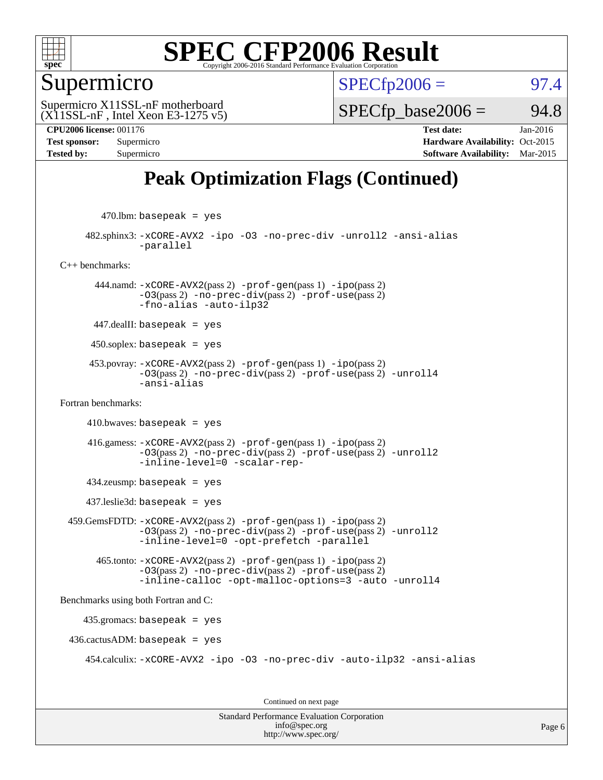

#### Supermicro

 $SPECTp2006 =$  97.4

(X11SSL-nF , Intel Xeon E3-1275 v5) Supermicro X11SSL-nF motherboard

 $SPECTp\_base2006 = 94.8$ 

**[CPU2006 license:](http://www.spec.org/auto/cpu2006/Docs/result-fields.html#CPU2006license)** 001176 **[Test date:](http://www.spec.org/auto/cpu2006/Docs/result-fields.html#Testdate)** Jan-2016 **[Test sponsor:](http://www.spec.org/auto/cpu2006/Docs/result-fields.html#Testsponsor)** Supermicro Supermicro **[Hardware Availability:](http://www.spec.org/auto/cpu2006/Docs/result-fields.html#HardwareAvailability)** Oct-2015 **[Tested by:](http://www.spec.org/auto/cpu2006/Docs/result-fields.html#Testedby)** Supermicro **[Software Availability:](http://www.spec.org/auto/cpu2006/Docs/result-fields.html#SoftwareAvailability)** Mar-2015

### **[Peak Optimization Flags \(Continued\)](http://www.spec.org/auto/cpu2006/Docs/result-fields.html#PeakOptimizationFlags)**

 $470$ .lbm: basepeak = yes

 482.sphinx3: [-xCORE-AVX2](http://www.spec.org/cpu2006/results/res2016q1/cpu2006-20160125-38769.flags.html#user_peakOPTIMIZE482_sphinx3_f-xAVX2_5f5fc0cbe2c9f62c816d3e45806c70d7) [-ipo](http://www.spec.org/cpu2006/results/res2016q1/cpu2006-20160125-38769.flags.html#user_peakOPTIMIZE482_sphinx3_f-ipo) [-O3](http://www.spec.org/cpu2006/results/res2016q1/cpu2006-20160125-38769.flags.html#user_peakOPTIMIZE482_sphinx3_f-O3) [-no-prec-div](http://www.spec.org/cpu2006/results/res2016q1/cpu2006-20160125-38769.flags.html#user_peakOPTIMIZE482_sphinx3_f-no-prec-div) [-unroll2](http://www.spec.org/cpu2006/results/res2016q1/cpu2006-20160125-38769.flags.html#user_peakCOPTIMIZE482_sphinx3_f-unroll_784dae83bebfb236979b41d2422d7ec2) [-ansi-alias](http://www.spec.org/cpu2006/results/res2016q1/cpu2006-20160125-38769.flags.html#user_peakCOPTIMIZE482_sphinx3_f-ansi-alias) [-parallel](http://www.spec.org/cpu2006/results/res2016q1/cpu2006-20160125-38769.flags.html#user_peakCOPTIMIZE482_sphinx3_f-parallel)

[C++ benchmarks:](http://www.spec.org/auto/cpu2006/Docs/result-fields.html#CXXbenchmarks)

 444.namd: [-xCORE-AVX2](http://www.spec.org/cpu2006/results/res2016q1/cpu2006-20160125-38769.flags.html#user_peakPASS2_CXXFLAGSPASS2_LDFLAGS444_namd_f-xAVX2_5f5fc0cbe2c9f62c816d3e45806c70d7)(pass 2) [-prof-gen](http://www.spec.org/cpu2006/results/res2016q1/cpu2006-20160125-38769.flags.html#user_peakPASS1_CXXFLAGSPASS1_LDFLAGS444_namd_prof_gen_e43856698f6ca7b7e442dfd80e94a8fc)(pass 1) [-ipo](http://www.spec.org/cpu2006/results/res2016q1/cpu2006-20160125-38769.flags.html#user_peakPASS2_CXXFLAGSPASS2_LDFLAGS444_namd_f-ipo)(pass 2)  $-03$ (pass 2)  $-no-prec-div(pass 2)$  $-no-prec-div(pass 2)$   $-prof-use(pass 2)$  $-prof-use(pass 2)$ [-fno-alias](http://www.spec.org/cpu2006/results/res2016q1/cpu2006-20160125-38769.flags.html#user_peakCXXOPTIMIZEOPTIMIZE444_namd_f-no-alias_694e77f6c5a51e658e82ccff53a9e63a) [-auto-ilp32](http://www.spec.org/cpu2006/results/res2016q1/cpu2006-20160125-38769.flags.html#user_peakCXXOPTIMIZE444_namd_f-auto-ilp32)

447.dealII: basepeak = yes

 $450$ .soplex: basepeak = yes

 453.povray: [-xCORE-AVX2](http://www.spec.org/cpu2006/results/res2016q1/cpu2006-20160125-38769.flags.html#user_peakPASS2_CXXFLAGSPASS2_LDFLAGS453_povray_f-xAVX2_5f5fc0cbe2c9f62c816d3e45806c70d7)(pass 2) [-prof-gen](http://www.spec.org/cpu2006/results/res2016q1/cpu2006-20160125-38769.flags.html#user_peakPASS1_CXXFLAGSPASS1_LDFLAGS453_povray_prof_gen_e43856698f6ca7b7e442dfd80e94a8fc)(pass 1) [-ipo](http://www.spec.org/cpu2006/results/res2016q1/cpu2006-20160125-38769.flags.html#user_peakPASS2_CXXFLAGSPASS2_LDFLAGS453_povray_f-ipo)(pass 2) [-O3](http://www.spec.org/cpu2006/results/res2016q1/cpu2006-20160125-38769.flags.html#user_peakPASS2_CXXFLAGSPASS2_LDFLAGS453_povray_f-O3)(pass 2) [-no-prec-div](http://www.spec.org/cpu2006/results/res2016q1/cpu2006-20160125-38769.flags.html#user_peakPASS2_CXXFLAGSPASS2_LDFLAGS453_povray_f-no-prec-div)(pass 2) [-prof-use](http://www.spec.org/cpu2006/results/res2016q1/cpu2006-20160125-38769.flags.html#user_peakPASS2_CXXFLAGSPASS2_LDFLAGS453_povray_prof_use_bccf7792157ff70d64e32fe3e1250b55)(pass 2) [-unroll4](http://www.spec.org/cpu2006/results/res2016q1/cpu2006-20160125-38769.flags.html#user_peakCXXOPTIMIZE453_povray_f-unroll_4e5e4ed65b7fd20bdcd365bec371b81f) [-ansi-alias](http://www.spec.org/cpu2006/results/res2016q1/cpu2006-20160125-38769.flags.html#user_peakCXXOPTIMIZE453_povray_f-ansi-alias)

[Fortran benchmarks](http://www.spec.org/auto/cpu2006/Docs/result-fields.html#Fortranbenchmarks):

 $410.bwaves: basepeak = yes$ 

 416.gamess: [-xCORE-AVX2](http://www.spec.org/cpu2006/results/res2016q1/cpu2006-20160125-38769.flags.html#user_peakPASS2_FFLAGSPASS2_LDFLAGS416_gamess_f-xAVX2_5f5fc0cbe2c9f62c816d3e45806c70d7)(pass 2) [-prof-gen](http://www.spec.org/cpu2006/results/res2016q1/cpu2006-20160125-38769.flags.html#user_peakPASS1_FFLAGSPASS1_LDFLAGS416_gamess_prof_gen_e43856698f6ca7b7e442dfd80e94a8fc)(pass 1) [-ipo](http://www.spec.org/cpu2006/results/res2016q1/cpu2006-20160125-38769.flags.html#user_peakPASS2_FFLAGSPASS2_LDFLAGS416_gamess_f-ipo)(pass 2) [-O3](http://www.spec.org/cpu2006/results/res2016q1/cpu2006-20160125-38769.flags.html#user_peakPASS2_FFLAGSPASS2_LDFLAGS416_gamess_f-O3)(pass 2) [-no-prec-div](http://www.spec.org/cpu2006/results/res2016q1/cpu2006-20160125-38769.flags.html#user_peakPASS2_FFLAGSPASS2_LDFLAGS416_gamess_f-no-prec-div)(pass 2) [-prof-use](http://www.spec.org/cpu2006/results/res2016q1/cpu2006-20160125-38769.flags.html#user_peakPASS2_FFLAGSPASS2_LDFLAGS416_gamess_prof_use_bccf7792157ff70d64e32fe3e1250b55)(pass 2) [-unroll2](http://www.spec.org/cpu2006/results/res2016q1/cpu2006-20160125-38769.flags.html#user_peakOPTIMIZE416_gamess_f-unroll_784dae83bebfb236979b41d2422d7ec2) [-inline-level=0](http://www.spec.org/cpu2006/results/res2016q1/cpu2006-20160125-38769.flags.html#user_peakOPTIMIZE416_gamess_f-inline-level_318d07a09274ad25e8d15dbfaa68ba50) [-scalar-rep-](http://www.spec.org/cpu2006/results/res2016q1/cpu2006-20160125-38769.flags.html#user_peakOPTIMIZE416_gamess_f-disablescalarrep_abbcad04450fb118e4809c81d83c8a1d)

434.zeusmp: basepeak = yes

437.leslie3d: basepeak = yes

 459.GemsFDTD: [-xCORE-AVX2](http://www.spec.org/cpu2006/results/res2016q1/cpu2006-20160125-38769.flags.html#user_peakPASS2_FFLAGSPASS2_LDFLAGS459_GemsFDTD_f-xAVX2_5f5fc0cbe2c9f62c816d3e45806c70d7)(pass 2) [-prof-gen](http://www.spec.org/cpu2006/results/res2016q1/cpu2006-20160125-38769.flags.html#user_peakPASS1_FFLAGSPASS1_LDFLAGS459_GemsFDTD_prof_gen_e43856698f6ca7b7e442dfd80e94a8fc)(pass 1) [-ipo](http://www.spec.org/cpu2006/results/res2016q1/cpu2006-20160125-38769.flags.html#user_peakPASS2_FFLAGSPASS2_LDFLAGS459_GemsFDTD_f-ipo)(pass 2) [-O3](http://www.spec.org/cpu2006/results/res2016q1/cpu2006-20160125-38769.flags.html#user_peakPASS2_FFLAGSPASS2_LDFLAGS459_GemsFDTD_f-O3)(pass 2) [-no-prec-div](http://www.spec.org/cpu2006/results/res2016q1/cpu2006-20160125-38769.flags.html#user_peakPASS2_FFLAGSPASS2_LDFLAGS459_GemsFDTD_f-no-prec-div)(pass 2) [-prof-use](http://www.spec.org/cpu2006/results/res2016q1/cpu2006-20160125-38769.flags.html#user_peakPASS2_FFLAGSPASS2_LDFLAGS459_GemsFDTD_prof_use_bccf7792157ff70d64e32fe3e1250b55)(pass 2) [-unroll2](http://www.spec.org/cpu2006/results/res2016q1/cpu2006-20160125-38769.flags.html#user_peakOPTIMIZE459_GemsFDTD_f-unroll_784dae83bebfb236979b41d2422d7ec2) [-inline-level=0](http://www.spec.org/cpu2006/results/res2016q1/cpu2006-20160125-38769.flags.html#user_peakOPTIMIZE459_GemsFDTD_f-inline-level_318d07a09274ad25e8d15dbfaa68ba50) [-opt-prefetch](http://www.spec.org/cpu2006/results/res2016q1/cpu2006-20160125-38769.flags.html#user_peakOPTIMIZE459_GemsFDTD_f-opt-prefetch) [-parallel](http://www.spec.org/cpu2006/results/res2016q1/cpu2006-20160125-38769.flags.html#user_peakOPTIMIZE459_GemsFDTD_f-parallel)

 465.tonto: [-xCORE-AVX2](http://www.spec.org/cpu2006/results/res2016q1/cpu2006-20160125-38769.flags.html#user_peakPASS2_FFLAGSPASS2_LDFLAGS465_tonto_f-xAVX2_5f5fc0cbe2c9f62c816d3e45806c70d7)(pass 2) [-prof-gen](http://www.spec.org/cpu2006/results/res2016q1/cpu2006-20160125-38769.flags.html#user_peakPASS1_FFLAGSPASS1_LDFLAGS465_tonto_prof_gen_e43856698f6ca7b7e442dfd80e94a8fc)(pass 1) [-ipo](http://www.spec.org/cpu2006/results/res2016q1/cpu2006-20160125-38769.flags.html#user_peakPASS2_FFLAGSPASS2_LDFLAGS465_tonto_f-ipo)(pass 2) [-O3](http://www.spec.org/cpu2006/results/res2016q1/cpu2006-20160125-38769.flags.html#user_peakPASS2_FFLAGSPASS2_LDFLAGS465_tonto_f-O3)(pass 2) [-no-prec-div](http://www.spec.org/cpu2006/results/res2016q1/cpu2006-20160125-38769.flags.html#user_peakPASS2_FFLAGSPASS2_LDFLAGS465_tonto_f-no-prec-div)(pass 2) [-prof-use](http://www.spec.org/cpu2006/results/res2016q1/cpu2006-20160125-38769.flags.html#user_peakPASS2_FFLAGSPASS2_LDFLAGS465_tonto_prof_use_bccf7792157ff70d64e32fe3e1250b55)(pass 2) [-inline-calloc](http://www.spec.org/cpu2006/results/res2016q1/cpu2006-20160125-38769.flags.html#user_peakOPTIMIZE465_tonto_f-inline-calloc) [-opt-malloc-options=3](http://www.spec.org/cpu2006/results/res2016q1/cpu2006-20160125-38769.flags.html#user_peakOPTIMIZE465_tonto_f-opt-malloc-options_13ab9b803cf986b4ee62f0a5998c2238) [-auto](http://www.spec.org/cpu2006/results/res2016q1/cpu2006-20160125-38769.flags.html#user_peakOPTIMIZE465_tonto_f-auto) [-unroll4](http://www.spec.org/cpu2006/results/res2016q1/cpu2006-20160125-38769.flags.html#user_peakOPTIMIZE465_tonto_f-unroll_4e5e4ed65b7fd20bdcd365bec371b81f)

[Benchmarks using both Fortran and C](http://www.spec.org/auto/cpu2006/Docs/result-fields.html#BenchmarksusingbothFortranandC):

435.gromacs: basepeak = yes

 $436.cactusADM: basepeak = yes$ 

454.calculix: [-xCORE-AVX2](http://www.spec.org/cpu2006/results/res2016q1/cpu2006-20160125-38769.flags.html#user_peakOPTIMIZE454_calculix_f-xAVX2_5f5fc0cbe2c9f62c816d3e45806c70d7) [-ipo](http://www.spec.org/cpu2006/results/res2016q1/cpu2006-20160125-38769.flags.html#user_peakOPTIMIZE454_calculix_f-ipo) [-O3](http://www.spec.org/cpu2006/results/res2016q1/cpu2006-20160125-38769.flags.html#user_peakOPTIMIZE454_calculix_f-O3) [-no-prec-div](http://www.spec.org/cpu2006/results/res2016q1/cpu2006-20160125-38769.flags.html#user_peakOPTIMIZE454_calculix_f-no-prec-div) [-auto-ilp32](http://www.spec.org/cpu2006/results/res2016q1/cpu2006-20160125-38769.flags.html#user_peakCOPTIMIZE454_calculix_f-auto-ilp32) [-ansi-alias](http://www.spec.org/cpu2006/results/res2016q1/cpu2006-20160125-38769.flags.html#user_peakCOPTIMIZE454_calculix_f-ansi-alias)

Continued on next page